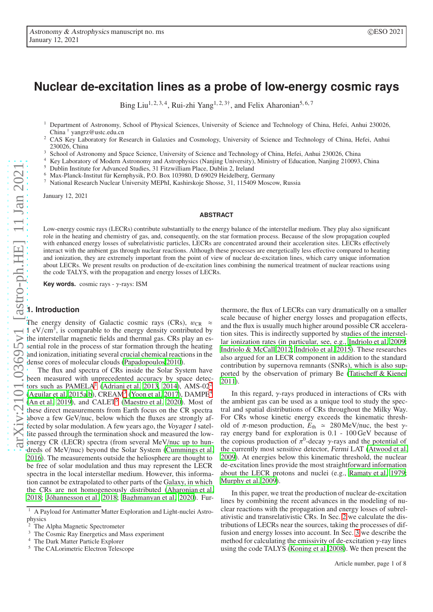# **Nuclear de-excitation lines as a probe of low-energy cosmic rays**

Bing Liu<sup>1, 2, 3, 4</sup>, Rui-zhi Yang<sup>1, 2, 3†</sup>, and Felix Aharonian<sup>5, 6, 7</sup>

<sup>1</sup> Department of Astronomy, School of Physical Sciences, University of Science and Technology of China, Hefei, Anhui 230026, China † yangrz@ustc.edu.cn

<sup>2</sup> CAS Key Laboratory for Research in Galaxies and Cosmology, University of Science and Technology of China, Hefei, Anhui 230026, China

<sup>3</sup> School of Astronomy and Space Science, University of Science and Technology of China, Hefei, Anhui 230026, China<br><sup>4</sup> Kuy Lakastany of Madam Astronomy and Astronomics (Nujling University) Ministry of Education Marijus

<sup>4</sup> Key Laboratory of Modern Astronomy and Astrophysics (Nanjing University), Ministry of Education, Nanjing 210093, China

<sup>5</sup> Dublin Institute for Advanced Studies, 31 Fitzwilliam Place, Dublin 2, Ireland

<sup>6</sup> Max-Planck-Institut für Kernphysik, P.O. Box 103980, D 69029 Heidelberg, Germany

<sup>7</sup> National Research Nuclear University MEPhI, Kashirskoje Shosse, 31, 115409 Moscow, Russia

January 12, 2021

#### **ABSTRACT**

Low-energy cosmic rays (LECRs) contribute substantially to the energy balance of the interstellar medium. They play also significant role in the heating and chemistry of gas, and, consequently, on the star formation process. Because of the slow propagation coupled with enhanced energy losses of subrelativistic particles, LECRs are concentrated around their acceleration sites. LECRs effectively interact with the ambient gas through nuclear reactions. Although these processes are energetically less effective compared to heating and ionization, they are extremely important from the point of view of nuclear de-excitation lines, which carry unique information about LECRs. We present results on production of de-excitation lines combining the numerical treatment of nuclear reactions using the code TALYS, with the propagation and energy losses of LECRs.

**Key words.** cosmic rays - γ-rays: ISM

## **1. Introduction**

The energy density of Galactic cosmic rays (CRs),  $w_{CR} \approx$  $1 \text{ eV/cm}^3$ , is comparable to the energy density contributed by the interstellar magnetic fields and thermal gas. CRs play an essential role in the process of star formation through the heating and ionization, initiating several crucial chemical reactions in the dense cores of molecular clouds [\(Papadopoulos 2010\)](#page-7-0).

The flux and spectra of CRs inside the Solar System have been measured with unprecedented accuracy by space detectors such as  $PAMELA<sup>1</sup>$  $PAMELA<sup>1</sup>$  $PAMELA<sup>1</sup>$  [\(Adriani et al. 2013](#page-6-0), [2014\)](#page-6-1), AMS-0[2](#page-0-1)<sup>2</sup> [\(Aguilar et al. 2015a](#page-6-2)[,b](#page-6-3)), CREAM<sup>[3](#page-0-2)</sup> [\(Yoon et al. 2017\)](#page-7-1), DAMPE<sup>[4](#page-0-3)</sup>  $(An et al. 2019)$  $(An et al. 2019)$ , and  $CALET<sup>5</sup>$  $CALET<sup>5</sup>$  $CALET<sup>5</sup>$  [\(Maestro et al. 2020\)](#page-7-2). Most of these direct measurements from Earth focus on the CR spectra above a few GeV/nuc, below which the fluxes are strongly affected by solar modulation. A few years ago, the Voyager <sup>1</sup> satellite passed through the termination shock and measured the lowenergy CR (LECR) spectra (from several MeV/nuc up to hundreds of MeV/nuc) beyond the Solar System [\(Cummings et al.](#page-6-5) [2016\)](#page-6-5). The measurements outside the heliosphere are thought to be free of solar modulation and thus may represent the LECR spectra in the local interstellar medium. However, this information cannot be extrapolated to other parts of the Galaxy, in which the CRs are not homogeneously distributed [\(Aharonian et al.](#page-6-6) [2018;](#page-6-6) [Jóhannesson et al. 2018;](#page-7-3) [Baghmanyan et al. 2020\)](#page-6-7). Fur-

thermore, the flux of LECRs can vary dramatically on a smaller scale because of higher energy losses and propagation effects, and the flux is usually much higher around possible CR acceleration sites. This is indirectly supported by studies of the interstellar ionization rates (in particular, see, e.g., [Indriolo et](#page-6-8) al. [2009;](#page-6-8) [Indriolo & McCall 2012;](#page-6-9) [Indriolo et al. 2015\)](#page-6-10). These researches also argued for an LECR component in addition to the standard contribution by supernova remnants (SNRs), which is also supported by the observation of primary Be (Tatischeff [& Kiener](#page-7-4) [2011\)](#page-7-4).

In this regard,  $\gamma$ -rays produced in interactions of CRs with the ambient gas can be used as a unique tool to study the spectral and spatial distributions of CRs throughout the Milky Way. For CRs whose kinetic energy exceeds the kinematic threshold of  $\pi$ -meson production,  $E_{\text{th}} \approx 280 \text{ MeV/nuc}$ , the best  $\gamma$ ray energy band for exploration is 0.1 - 100 GeV because of the copious production of  $\pi^0$ -decay  $\gamma$ -rays and the potential of the currently most sensitive detector, Fermi LAT [\(Atwood et al.](#page-6-11) [2009\)](#page-6-11). At energies below this kinematic threshold, the nuclear de-excitation lines provide the most straightforward information about the LECR protons and nuclei (e.g., [Ramaty et al. 1979;](#page-7-5) [Murphy et al. 2009\)](#page-7-6).

In this paper, we treat the production of nuclear de-excitation lines by combining the recent advances in the modeling of nuclear reactions with the propagation and energy losses of subrelativistic and transrelativistic CRs. In Sec. [2](#page-1-0) we calculate the distributions of LECRs near the sources, taking the processes of diffusion and energy losses into account. In Sec. [3](#page-2-0) we describe the method for calculating the emissivity of de-excitation  $\gamma$ -ray lines using the code TALYS [\(Koning et al. 2008](#page-7-7)). We then present the

<sup>&</sup>lt;sup>1</sup> A Payload for Antimatter Matter Exploration and Light-nuclei Astrophysics

<span id="page-0-0"></span><sup>&</sup>lt;sup>2</sup> The Alpha Magnetic Spectrometer<br> $\frac{3}{2}$  The Cosmic Boy Energy is and M

<span id="page-0-1"></span>The Cosmic Ray Energetics and Mass experiment

<span id="page-0-2"></span><sup>4</sup> The Dark Matter Particle Explorer

<span id="page-0-4"></span><span id="page-0-3"></span><sup>5</sup> The CALorimetric Electron Telescope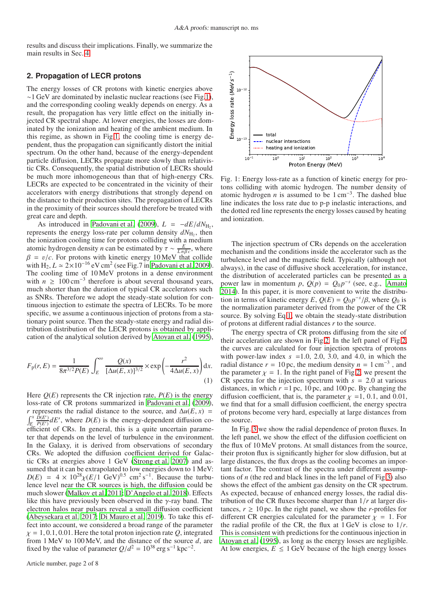results and discuss their implications. Finally, we summarize the main results in Sec. [4.](#page-5-0)

# <span id="page-1-0"></span>**2. Propagation of LECR protons**

The energy losses of CR protons with kinetic energies above ∼1 GeV are dominated by inelastic nuclear reactions (see Fig[.1\)](#page-1-1), and the corresponding cooling weakly depends on energy. As a result, the propagation has very little effect on the initially injected CR spectral shape. At lower energies, the losses are dominated by the ionization and heating of the ambient medium. In this regime, as shown in Fig[.1,](#page-1-1) the cooling time is energy dependent, thus the propagation can significantly distort the initial spectrum. On the other hand, because of the energy-dependent particle diffusion, LECRs propagate more slowly than relativistic CRs. Consequently, the spatial distribution of LECRs should be much more inhomogeneous than that of high-energy CRs. LECRs are expected to be concentrated in the vicinity of their accelerators with energy distributions that strongly depend on the distance to their production sites. The propagation of LECRs in the proximity of their sources should therefore be treated with great care and depth.

As introduced in [Padovani et al. \(2009\)](#page-7-8),  $L = -dE/dN_{\text{H}_2}$ , represents the energy loss-rate per column density  $dN_{\rm H_2}$ , then the ionization cooling time for protons colliding with a medium atomic hydrogen density *n* can be estimated by  $\tau \sim \frac{E}{L n \beta c}$ , where  $\beta = v/c$ . For protons with kinetic energy 10 MeV that collide with  $H_2$ ,  $L \approx 2 \times 10^{-16}$  eV cm<sup>2</sup> (see Fig.7 in [Padovani et al. 2009\)](#page-7-8). The cooling time of 10 MeV protons in a dense environment with  $n \geq 100 \text{ cm}^{-3}$  therefore is about several thousand years, much shorter than the duration of typical CR accelerators such as SNRs. Therefore we adopt the steady-state solution for continuous injection to estimate the spectra of LECRs. To be more specific, we assume a continuous injection of protons from a stationary point source. Then the steady-state energy and radial distribution distribution of the LECR protons is obtained by application of the analytical solution derived by [Atoyan et al. \(1995\)](#page-6-12),

<span id="page-1-2"></span>
$$
F_{p}(r,E) = \frac{1}{8\pi^{3/2}P(E)} \int_{E}^{\infty} \frac{Q(x)}{[\Delta u(E,x)]^{3/2}} \times \exp\left(-\frac{r^{2}}{4\Delta u(E,x)}\right) dx.
$$
\n(1)

Here  $Q(E)$  represents the CR injection rate,  $P(E)$  is the energy loss-rate of CR protons summarized in [Padovani et al. \(2009\)](#page-7-8), *r* represents the radial distance to the source, and  $\Delta u(E, x)$  =  $\int_E^x$  $\frac{\hat{D}(E')}{P(E')}$  *dE'*, where  $D(E)$  is the energy-dependent diffusion coefficient of CRs. In general, this is a quite uncertain parameter that depends on the level of turbulence in the environment. In the Galaxy, it is derived from observations of secondary CRs. We adopted the diffusion coefficient derived for Galactic CRs at energies above 1 GeV [\(Strong et al. 2007](#page-7-9)) and assumed that it can be extrapolated to low energies down to 1 MeV:  $D(E) = 4 \times 10^{28} \chi (E/\sqrt{1} \text{ GeV})^{0.5} \text{ cm}^2 \text{ s}^{-1}$ . Because the turbulence level near the CR sources is high, the diffusion could be much slower [\(Malkov et al. 2011;](#page-7-10) [D'Angelo et al. 2018\)](#page-6-13). Effects like this have previously been observed in the  $\gamma$ -ray band. The electron halos near pulsars reveal a small diffusion coefficient [\(Abeysekara et al. 2017;](#page-6-14) [Di Mauro et al. 2019](#page-6-15)). To take this effect into account, we considered a broad range of the parameter  $\chi = 1, 0.1, 0.01$ . Here the total proton injection rate *Q*, integrated from 1 MeV to 100 MeV, and the distance of the source *d*, are fixed by the value of parameter  $Q/d^2 = 10^{38} \text{ erg s}^{-1} \text{ kpc}^{-2}$ .

<span id="page-1-1"></span>

Fig. 1: Energy loss-rate as a function of kinetic energy for protons colliding with atomic hydrogen. The number density of atomic hydrogen *n* is assumed to be  $1 \text{ cm}^{-3}$ . The dashed blue line indicates the loss rate due to p-p inelastic interactions, and the dotted red line represents the energy losses caused by heating and ionization.

The injection spectrum of CRs depends on the acceleration mechanism and the conditions inside the accelerator such as the turbulence level and the magnetic field. Typically (although not always), in the case of diffusive shock acceleration, for instance, the distribution of accelerated particles can be presented as a power law in momentum  $p$ ,  $Q(p) = Q_0 p^{-s}$  (see, e.g., [Amato](#page-6-16) [2014\)](#page-6-16). In this paper, it is more convenient to write the distribution in terms of kinetic energy *E*,  $Q(E) = Q_0 p^{-s}/\beta$ , where  $Q_0$  is the normalization parameter derived from the power of the CR source. By solving Eq[.1,](#page-1-2) we obtain the steady-state distribution of protons at different radial distances *r* to the source.

The energy spectra of CR protons diffusing from the site of their acceleration are shown in Fig[.2.](#page-3-0) In the left panel of Fig[.2,](#page-3-0) the curves are calculated for four injection spectra of protons with power-law index  $s = 1.0, 2.0, 3.0,$  and 4.0, in which the radial distance  $r = 10$  pc, the medium density  $n = 1$  cm<sup>-3</sup>, and the parameter  $\chi = 1$ . In the right panel of Fig[.2,](#page-3-0) we present the CR spectra for the injection spectrum with  $s = 2.0$  at various distances, in which  $r = 1$  pc, 10 pc, and 100 pc. By changing the diffusion coefficient, that is, the parameter  $\chi$  =1, 0.1, and 0.01, we find that for a small diffusion coefficient, the energy spectra of protons become very hard, especially at large distances from the source.

In Fig. [3](#page-3-1) we show the radial dependence of proton fluxes. In the left panel, we show the effect of the diffusion coefficient on the flux of 10 MeV protons. At small distances from the source, their proton flux is significantly higher for slow diffusion, but at large distances, the flux drops as the cooling becomes an important factor. The contrast of the spectra under different assumptions of *n* (the red and black lines in the left panel of Fig[.3\)](#page-3-1) also shows the effect of the ambient gas density on the CR spectrum. As expected, because of enhanced energy losses, the radial distribution of the CR fluxes become sharper than 1/*r* at larger distances,  $r \ge 10$  pc. In the right panel, we show the *r*-profiles for different CR energies calculated for the parameter  $\chi = 1$ . For the radial profile of the CR, the flux at 1 GeV is close to 1/*r*. This is consistent with predictions for the continuous injection in [Atoyan et al. \(1995](#page-6-12)), as long as the energy losses are negligible. At low energies,  $E \leq 1$  GeV because of the high energy losses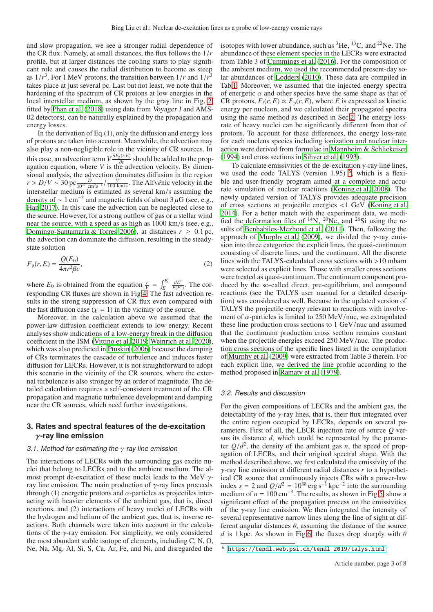and slow propagation, we see a stronger radial dependence of the CR flux. Namely, at small distances, the flux follows the 1/*r* profile, but at larger distances the cooling starts to play significant role and causes the radial distribution to become as steep as  $1/r^3$ . For 1 MeV protons, the transition between  $1/r$  and  $1/r^3$ takes place at just several pc. Last but not least, we note that the hardening of the spectrum of CR protons at low energies in the local interstellar medium, as shown by the gray line in Fig. [2,](#page-3-0) fitted by [Phan et al. \(2018\)](#page-7-11) using data from Voyager <sup>1</sup> and AMS-02 detectors), can be naturally explained by the propagation and energy losses.

In the derivation of Eq. $(1)$ , only the diffusion and energy loss of protons are taken into account. Meanwhile, the advection may also play a non-negligible role in the vicinity of CR sources. In this case, an advection term  $V \frac{\partial F_p(r,E)}{\partial r}$  $\frac{\partial (r, E)}{\partial r}$  should be added to the propagation equation, where *V* is the advection velocity. By dimensional analysis, the advection dominates diffusion in the region  $r > D/V \sim 30 \text{ pc} \frac{D}{10^{27} \text{ cm}^2 \text{s}^{-1}} / \frac{V}{100 \text{ km/s}}$ . The Alfv $\acute{e}$ nic velocity in the interstellar medium is estimated as several km/s assuming the density of  $\sim 1 \text{ cm}^{-3}$  and magnetic fields of about 3  $\mu$ G (see, e.g., [Han 2017\)](#page-6-17). In this case the advection can be neglected close to the source. However, for a strong outflow of gas or a stellar wind near the source, with a speed as as high as 1000 km/s (see, e.g., [Domingo-Santamaría & Torres 2006\)](#page-6-18), at distances  $r \geq 0.1$  pc, the advection can dominate the diffusion, resulting in the steadystate solution

<span id="page-2-2"></span>
$$
F_{\mathbf{p}}(r,E) = \frac{Q(E_0)}{4\pi r^2 \beta c},\tag{2}
$$

where  $E_0$  is obtained from the equation  $\frac{r}{V} = \int_E^{E_0}$  $\frac{dE'}{P(E')}$ . The corresponding CR fluxes are shown in Fig[.4.](#page-4-0) The fast advection results in the strong suppression of CR flux even compared with the fast diffusion case  $(y = 1)$  in the vicinity of the source.

Moreover, in the calculation above we assumed that the power-law diffusion coefficient extends to low energy. Recent analyses show indications of a low-energy break in the diffusion coefficient in the ISM [\(Vittino et al. 2019;](#page-7-12) [Weinrich et al. 2020\)](#page-7-13), which was also predicted in [Ptuskin](#page-7-14) [\(2006\)](#page-7-14) because the damping of CRs terminates the cascade of turbulence and induces faster diffusion for LECRs. However, it is not straightforward to adopt this scenario in the vicinity of the CR sources, where the external turbulence is also stronger by an order of magnitude. The detailed calculation requires a self-consistent treatment of the CR propagation and magnetic turbulence development and damping near the CR sources, which need further investigations.

# <span id="page-2-0"></span>**3. Rates and spectral features of the de-excitation** γ**-ray line emission**

## 3.1. Method for estimating the  $\gamma$ -ray line emission

The interactions of LECRs with the surrounding gas excite nuclei that belong to LECRs and to the ambient medium. The almost prompt de-excitation of these nuclei leads to the MeV γray line emission. The main production of γ-ray lines proceeds through (1) energetic protons and  $\alpha$ -particles as projectiles interacting with heavier elements of the ambient gas, that is, direct reactions, and (2) interactions of heavy nuclei of LECRs with the hydrogen and helium of the ambient gas, that is, inverse reactions. Both channels were taken into account in the calculations of the  $\gamma$ -ray emission. For simplicity, we only considered the most abundant stable isotope of elements, including C, N, O, Ne, Na, Mg, Al, Si, S, Ca, Ar, Fe, and Ni, and disregarded the

isotopes with lower abundance, such as  ${}^{3}$ He,  ${}^{13}$ C, and  ${}^{22}$ Ne. The abundance of these element species in the LECRs were extracted from Table 3 of [Cummings et al. \(2016](#page-6-5)). For the composition of the ambient medium, we used the recommended present-day solar abundances of [Lodders \(2010](#page-7-15)). These data are compiled in Tab[.1.](#page-6-19) Moreover, we assumed that the injected energy spectra of energetic  $\alpha$  and other species have the same shape as that of CR protons,  $F_i(r, E) \propto F_p(r, E)$ , where *E* is expressed as kinetic energy per nucleon, and we calculated their propagated spectra using the same method as described in Sec[.2.](#page-1-0) The energy lossrate of heavy nuclei can be significantly different from that of protons. To account for these differences, the energy loss-rate for each nucleus species including ionization and nuclear interaction were derived from formulae in [Mannheim & Schlickeiser](#page-7-16) [\(1994\)](#page-7-16) and cross sections in [Sihver et al. \(1993](#page-7-17)).

To calculate emissivities of the de-excitation  $\gamma$ -ray line lines, we used the code TALYS (version 1.95)  $<sup>6</sup>$  $<sup>6</sup>$  $<sup>6</sup>$ , which is a flexi-</sup> ble and user-friendly program aimed at a complete and accurate simulation of nuclear reactions [\(Koning et al. 2008](#page-7-7)). The newly updated version of TALYS provides adequate precision of cross sections at projectile energies <1 GeV [\(Koning et al.](#page-7-18) [2014\)](#page-7-18). For a better match with the experiment data, we modified the deformation files of  $^{14}$ N,  $^{20}$ Ne, and  $^{28}$ Si using the results of [Benhabiles-Mezhoud et al.](#page-6-20) [\(2011\)](#page-6-20). Then, following the approach of [Murphy et al. \(2009\)](#page-7-6), we divided the  $\gamma$ -ray emission into three categories: the explicit lines, the quasi-continuum consisting of discrete lines, and the continuum. All the discrete lines with the TALYS-calculated cross sections with >10 mbarn were selected as explicit lines. Those with smaller cross sections were treated as quasi-continuum. The continuum component produced by the so-called direct, pre-equilibrium, and compound reactions (see the TALYS user manual for a detailed description) was considered as well. Because in the updated version of TALYS the projectile energy relevant to reactions with involvement of  $\alpha$ -particles is limited to 250 MeV/nuc, we extrapolated these line production cross sections to 1 GeV/nuc and assumed that the continuum production cross section remains constant when the projectile energies exceed 250 MeV/nuc. The production cross sections of the specific lines listed in the compilation of [Murphy et al. \(2009\)](#page-7-6) were extracted from Table 3 therein. For each explicit line, we derived the line profile according to the method proposed in [Ramaty et al.](#page-7-5) [\(1979\)](#page-7-5).

#### <span id="page-2-3"></span>3.2. Results and discussion

For the given compositions of LECRs and the ambient gas, the detectability of the  $\gamma$ -ray lines, that is, their flux integrated over the entire region occupied by LECRs, depends on several parameters. First of all, the LECR injection rate of source *Q* versus its distance *d*, which could be represented by the parameter  $Q/d^2$ , the density of the ambient gas *n*, the speed of propagation of LECRs, and their original spectral shape. With the method described above, we first calculated the emissivity of the γ-ray line emission at different radial distances *r* to a hypothetical CR source that continuously injects CRs with a power-law index  $s = 2$  and  $Q/d^2 = 10^{38} \text{ erg s}^{-1} \text{ kpc}^{-2}$  into the surrounding medium of  $n = 100 \text{ cm}^{-3}$ . The results, as shown in Fig[.5,](#page-4-1) show a significant effect of the propagation process on the emissivities of the  $\gamma$ -ray line emission. We then integrated the intensity of several representative narrow lines along the line of sight at different angular distances  $\theta$ , assuming the distance of the source *d* is 1 kpc. As shown in Fig[.6,](#page-4-2) the fluxes drop sharply with  $\theta$ 

<span id="page-2-1"></span><sup>6</sup> [https://tendl.web.psi.ch/tendl\\_2019/talys.html](https://tendl.web.psi.ch/tendl_2019/talys.html)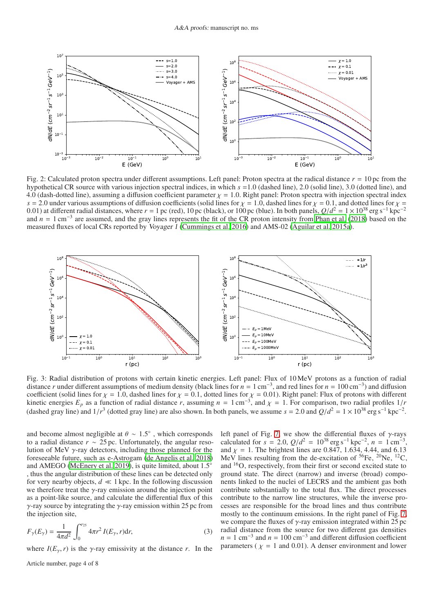<span id="page-3-0"></span>

Fig. 2: Calculated proton spectra under different assumptions. Left panel: Proton spectra at the radical distance  $r = 10$  pc from the hypothetical CR source with various injection spectral indices, in which *s* =1.0 (dashed line), 2.0 (solid line), 3.0 (dotted line), and 4.0 (dash-dotted line), assuming a diffusion coefficient parameter  $\chi$  = 1.0. Right panel: Proton spectra with injection spectral index  $s = 2.0$  under various assumptions of diffusion coefficients (solid lines for  $\chi = 1.0$ , dashed lines for  $\chi = 0.1$ , and dotted lines for  $\chi = 1.0$ 0.01) at different radial distances, where  $r = 1$  pc (red), 10 pc (black), or 100 pc (blue). In both panels,  $Q/d^2 = 1 \times 10^{38}$  erg s<sup>-1</sup> kpc<sup>-2</sup> and  $n = 1$  cm<sup>-3</sup> are assumed, and the gray lines represents the fit of the CR proton intensity from [Phan et al.](#page-7-11) [\(2018\)](#page-7-11) based on the measured fluxes of local CRs reported by Voyager <sup>1</sup> [\(Cummings et al. 2016\)](#page-6-5) and AMS-02 [\(Aguilar et al. 2015a\)](#page-6-2).

<span id="page-3-1"></span>

Fig. 3: Radial distribution of protons with certain kinetic energies. Left panel: Flux of 10 MeV protons as a function of radial distance *r* under different assumptions of medium density (black lines for  $n = 1$  cm<sup>-3</sup>, and red lines for  $n = 100$  cm<sup>-3</sup>) and diffusion coefficient (solid lines for  $\chi = 1.0$ , dashed lines for  $\chi = 0.1$ , dotted lines for  $\chi = 0.01$ ). Right panel: Flux of protons with different kinetic energies  $E_p$  as a function of radial distance *r*, assuming  $n = 1$  cm<sup>-3</sup>, and  $\chi = 1$ . For comparison, two radial profiles  $1/r$ (dashed gray line) and  $1/r^3$  (dotted gray line) are also shown. In both panels, we assume  $s = 2.0$  and  $Q/d^2 = 1 \times 10^{38}$  erg s<sup>-1</sup> kpc<sup>-2</sup>.

and become almost negligible at  $\theta \sim 1.5^{\circ}$ , which corresponds to a radial distance *r* ∼ 25 pc. Unfortunately, the angular resolution of MeV  $\gamma$ -ray detectors, including those planned for the foreseeable future, such as e-Astrogam [\(de Angelis et al. 2018\)](#page-6-21) and AMEGO [\(McEnery et al. 2019\)](#page-7-19), is quite limited, about  $1.5^{\circ}$ , thus the angular distribution of these lines can be detected only for very nearby objects,  $d \ll 1$  kpc. In the following discussion we therefore treat the  $\gamma$ -ray emission around the injection point as a point-like source, and calculate the differential flux of this  $\gamma$ -ray source by integrating the  $\gamma$ -ray emission within 25 pc from the injection site,

$$
F_{\gamma}(E_{\gamma}) = \frac{1}{4\pi d^2} \int_0^{r_{25}} 4\pi r^2 I(E_{\gamma}, r) dr,
$$
 (3)

where  $I(E_{\gamma}, r)$  is the  $\gamma$ -ray emissivity at the distance *r*. In the

Article number, page 4 of 8

left panel of Fig. [7,](#page-5-1) we show the differential fluxes of  $\gamma$ -rays calculated for  $s = 2.0$ ,  $Q/d^2 = 10^{38} \text{ erg s}^{-1} \text{ kpc}^{-2}$ ,  $n = 1 \text{ cm}^{-3}$ , and  $\chi = 1$ . The brightest lines are 0.847, 1.634, 4.44, and 6.13 MeV lines resulting from the de-excitation of  ${}^{56}Fe$ ,  ${}^{20}Ne$ ,  ${}^{12}C$ , and <sup>16</sup>O, respectively, from their first or second excited state to ground state. The direct (narrow) and inverse (broad) components linked to the nuclei of LECRS and the ambient gas both contribute substantially to the total flux. The direct processes contribute to the narrow line structures, while the inverse processes are responsible for the broad lines and thus contribute mostly to the continuum emissions. In the right panel of Fig. [7,](#page-5-1) we compare the fluxes of  $\gamma$ -ray emission integrated within 25 pc radial distance from the source for two different gas densities  $n = 1$  cm<sup>-3</sup> and  $n = 100$  cm<sup>-3</sup> and different diffusion coefficient parameters ( $\chi = 1$  and 0.01). A denser environment and lower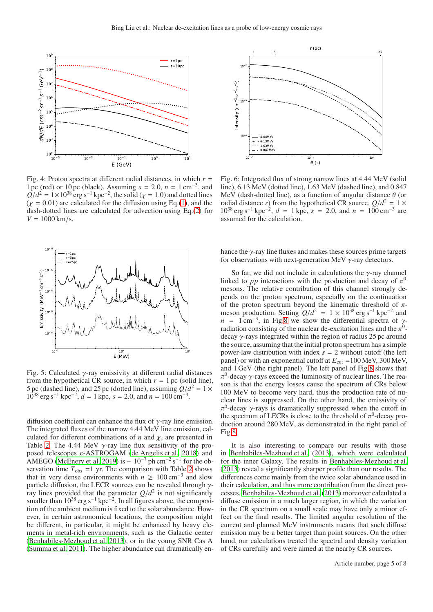<span id="page-4-0"></span>

 $V = 1000 \text{ km/s}.$  dash-dotted lines are calculated for advection using Eq.[\(2\)](#page-2-2) for Fig. 4: Proton spectra at different radial distances, in which  $r =$ 1 pc (red) or 10 pc (black). Assuming  $s = 2.0$ ,  $n = 1 \text{ cm}^{-3}$ , and  $Q/d^2 = 1 \times 10^{38}$  erg s<sup>-1</sup> kpc<sup>-2</sup>, the solid ( $\chi = 1.0$ ) and dotted lines  $(\chi = 0.01)$  are calculated for the diffusion using Eq.[\(1\)](#page-1-2), and the

<span id="page-4-1"></span>

Fig. 5: Calculated  $\gamma$ -ray emissivity at different radial distances from the hypothetical CR source, in which  $r = 1$  pc (solid line), 5 pc (dashed line), and 25 pc (dotted line), assuming  $Q/d^2 = 1 \times$  $10^{38}$  erg s<sup>-1</sup> kpc<sup>-2</sup>,  $d = 1$  kpc,  $s = 2.0$ , and  $n = 100$  cm<sup>-3</sup>.

diffusion coefficient can enhance the flux of  $\gamma$ -ray line emission. The integrated fluxes of the narrow 4.44 MeV line emission, calculated for different combinations of  $n$  and  $\chi$ , are presented in Table [2.](#page-6-22) The 4.44 MeV  $\gamma$ -ray line flux sensitivity of the proposed telescopes e-ASTROGAM [\(de Angelis et al. 2018\)](#page-6-21) and AMEGO [\(McEnery et al. 2019\)](#page-7-19) is  $\sim 10^{-7}$  ph cm<sup>-2</sup> s<sup>-1</sup> for the observation time  $T_{obs}$  =1 yr. The comparison with Table [2](#page-6-22) shows that in very dense environments with  $n \geq 100 \text{ cm}^{-3}$  and slow particle diffusion, the LECR sources can be revealed through  $\gamma$ ray lines provided that the parameter  $Q/d^2$  is not significantly smaller than  $10^{38}$  erg s<sup>-1</sup> kpc<sup>-2</sup>. In all figures above, the composition of the ambient medium is fixed to the solar abundance. However, in certain astronomical locations, the composition might be different, in particular, it might be enhanced by heavy elements in metal-rich environments, such as the Galactic center [\(Benhabiles-Mezhoud et al. 2013\)](#page-6-23), or in the young SNR Cas A [\(Summa et al. 2011\)](#page-7-20). The higher abundance can dramatically en-

<span id="page-4-2"></span>

Fig. 6: Integrated flux of strong narrow lines at 4.44 MeV (solid line), 6.13 MeV (dotted line), 1.63 MeV (dashed line), and 0.847 MeV (dash-dotted line), as a function of angular distance  $\theta$  (or radial distance *r*) from the hypothetical CR source.  $Q/d^2 = 1 \times$  $10^{38}$  erg s<sup>-1</sup> kpc<sup>-2</sup>,  $d = 1$  kpc,  $s = 2.0$ , and  $n = 100$  cm<sup>-3</sup> are assumed for the calculation.

hance the  $\gamma$ -ray line fluxes and makes these sources prime targets for observations with next-generation MeV  $\gamma$ -ray detectors.

So far, we did not include in calculations the  $\gamma$ -ray channel linked to  $pp$  interactions with the production and decay of  $\pi^0$ mesons. The relative contribution of this channel strongly depends on the proton spectrum, especially on the continuation of the proton spectrum beyond the kinematic threshold of  $\pi$ meson production. Setting  $Q/d^2 = 1 \times 10^{38}$  erg s<sup>-1</sup> kpc<sup>-2</sup> and  $n = 1 \text{ cm}^{-3}$ , in Fig[.8](#page-5-2) we show the differential spectra of  $\gamma$ radiation consisting of the nuclear de-excitation lines and the  $\pi^0$ decay  $\gamma$ -rays integrated within the region of radius 25 pc around the source, assuming that the initial proton spectrum has a simple power-law distribution with index *s* = 2 without cutoff (the left panel) or with an exponential cutoff at  $E_{\text{cut}} = 100 \text{ MeV}$ , 300 MeV, and 1 GeV (the right panel). The left panel of Fig[.8](#page-5-2) shows that  $\pi^0$ -decay  $\gamma$ -rays exceed the luminosity of nuclear lines. The reason is that the energy losses cause the spectrum of CRs below 100 MeV to become very hard, thus the production rate of nuclear lines is suppressed. On the other hand, the emissivity of  $\pi^0$ -decay  $\gamma$ -rays is dramatically suppressed when the cutoff in the spectrum of LECRs is close to the threshold of  $\pi^0$ -decay production around 280 MeV, as demonstrated in the right panel of Fig[.8.](#page-5-2)

It is also interesting to compare our results with those in [Benhabiles-Mezhoud et al. \(2013\)](#page-6-23), which were calculated for the inner Galaxy. The results in [Benhabiles-Mezhoud et al.](#page-6-23) [\(2013\)](#page-6-23) reveal a significantly sharper profile than our results. The differences come mainly from the twice solar abundance used in their calculation, and thus more contribution from the direct processes. [Benhabiles-Mezhoud et al.](#page-6-23) [\(2013\)](#page-6-23) moreover calculated a diffuse emission in a much larger region, in which the variation in the CR spectrum on a small scale may have only a minor effect on the final results. The limited angular resolution of the current and planned MeV instruments means that such diffuse emission may be a better target than point sources. On the other hand, our calculations treated the spectral and density variation of CRs carefully and were aimed at the nearby CR sources.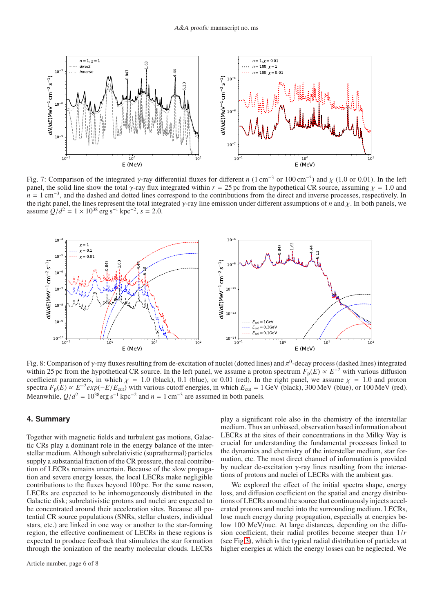<span id="page-5-1"></span>

Fig. 7: Comparison of the integrated  $\gamma$ -ray differential fluxes for different *n* (1 cm<sup>-3</sup> or 100 cm<sup>-3</sup>) and  $\chi$  (1.0 or 0.01). In the left panel, the solid line show the total  $\gamma$ -ray flux integrated within  $r = 25$  pc from the hypothetical CR source, assuming  $\gamma = 1.0$  and  $n = 1 \text{ cm}^{-3}$ , and the dashed and dotted lines correspond to the contributions from the direct and inverse processes, respectively. In the right panel, the lines represent the total integrated γ-ray line emission under different assumptions of *n* and χ. In both panels, we assume  $\frac{Q}{d^2} = 1 \times 10^{38} \text{ erg s}^{-1} \text{ kpc}^{-2}, s = 2.0.$ 

<span id="page-5-2"></span>

Fig. 8: Comparison of  $\gamma$ -ray fluxes resulting from de-excitation of nuclei (dotted lines) and  $\pi^0$ -decay process (dashed lines) integrated within 25 pc from the hypothetical CR source. In the left panel, we assume a proton spectrum  $F_p(E) \propto E^{-2}$  with various diffusion coefficient parameters, in which  $\chi = 1.0$  (black), 0.1 (blue), or 0.01 (red). In the right panel, we assume  $\chi = 1.0$  and proton spectra  $F_p(E) \propto E^{-2} exp(-E/E_{\text{cut}})$  with various cutoff energies, in which  $E_{\text{cut}} = 1 \text{ GeV}$  (black), 300 MeV (blue), or 100 MeV (red). Meanwhile,  $Q/d^2 = 10^{38} \text{erg s}^{-1} \text{ kpc}^{-2}$  and  $n = 1 \text{ cm}^{-3}$  are assumed in both panels.

## <span id="page-5-0"></span>**4. Summary**

Together with magnetic fields and turbulent gas motions, Galactic CRs play a dominant role in the energy balance of the interstellar medium. Although subrelativistic (suprathermal) particles supply a substantial fraction of the CR pressure, the real contribution of LECRs remains uncertain. Because of the slow propagation and severe energy losses, the local LECRs make negligible contributions to the fluxes beyond 100 pc. For the same reason, LECRs are expected to be inhomogeneously distributed in the Galactic disk; subrelativistic protons and nuclei are expected to be concentrated around their acceleration sites. Because all potential CR source populations (SNRs, stellar clusters, individual stars, etc.) are linked in one way or another to the star-forming region, the effective confinement of LECRs in these regions is expected to produce feedback that stimulates the star formation through the ionization of the nearby molecular clouds. LECRs play a significant role also in the chemistry of the interstellar medium. Thus an unbiased, observation based information about LECRs at the sites of their concentrations in the Milky Way is crucial for understanding the fundamental processes linked to the dynamics and chemistry of the interstellar medium, star formation, etc. The most direct channel of information is provided by nuclear de-excitation  $\gamma$ -ray lines resulting from the interactions of protons and nuclei of LECRs with the ambient gas.

We explored the effect of the initial spectra shape, energy loss, and diffusion coefficient on the spatial and energy distributions of LECRs around the source that continuously injects accelerated protons and nuclei into the surrounding medium. LECRs, lose much energy during propagation, especially at energies below 100 MeV/nuc. At large distances, depending on the diffusion coefficient, their radial profiles become steeper than 1/*r* (see Fig[.3\)](#page-3-1), which is the typical radial distribution of particles at higher energies at which the energy losses can be neglected. We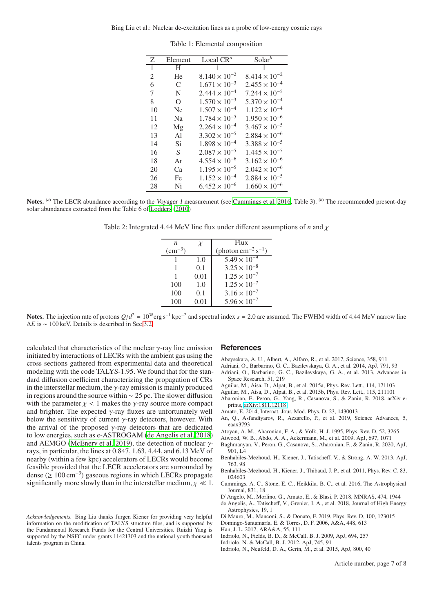<span id="page-6-19"></span>Bing Liu et al.: Nuclear de-excitation lines as a probe of low-energy cosmic rays

| Z              | Element        | Local $CR^a$           | $Solar^b$              |
|----------------|----------------|------------------------|------------------------|
| $\mathbf{1}$   | H              |                        |                        |
| $\overline{c}$ | He             | $8.140 \times 10^{-2}$ | $8.414 \times 10^{-2}$ |
| 6              | C              | $1.671 \times 10^{-3}$ | $2.455 \times 10^{-4}$ |
| 7              | N              | $2.444 \times 10^{-4}$ | $7.244 \times 10^{-5}$ |
| 8              | $\Omega$       | $1.570 \times 10^{-3}$ | $5.370 \times 10^{-4}$ |
| 10             | Ne             | $1.507 \times 10^{-4}$ | $1.122 \times 10^{-4}$ |
| 11             | N <sub>a</sub> | $1.784 \times 10^{-5}$ | $1.950 \times 10^{-6}$ |
| 12             | Mg             | $2.264 \times 10^{-4}$ | $3.467 \times 10^{-5}$ |
| 13             | A1             | $3.302 \times 10^{-5}$ | $2.884 \times 10^{-6}$ |
| 14             | Si             | $1.898 \times 10^{-4}$ | $3.388 \times 10^{-5}$ |
| 16             | S              | $2.087 \times 10^{-5}$ | $1.445 \times 10^{-5}$ |
| 18             | Ar             | $4.554 \times 10^{-6}$ | $3.162 \times 10^{-6}$ |
| 20             | Cа             | $1.195 \times 10^{-5}$ | $2.042 \times 10^{-6}$ |
| 26             | Fe             | $1.152 \times 10^{-4}$ | $2.884 \times 10^{-5}$ |
| 28             | Ni             | $6.452 \times 10^{-6}$ | $1.660 \times 10^{-6}$ |

Table 1: Elemental composition

<span id="page-6-22"></span>Notes. <sup>(a)</sup> The LECR abundance according to the Voyager 1 measurement (see [Cummings et al. 2016](#page-6-5), Table 3). <sup>(b)</sup> The recommended present-day solar abundances extracted from the Table 6 of [Lodders \(2010](#page-7-15))

Table 2: Integrated 4.44 MeV line flux under different assumptions of *n* and χ

| $\boldsymbol{n}$             | X    | Flux                                     |
|------------------------------|------|------------------------------------------|
| $\rm \left( cm^{-3} \right)$ |      | (photon $\text{cm}^{-2}\text{ s}^{-1}$ ) |
|                              | 1.0  | $5.49 \times 10^{-9}$                    |
|                              | 0.1  | $3.25 \times 10^{-8}$                    |
|                              | 0.01 | $1.25 \times 10^{-7}$                    |
| 100                          | 1.0  | $1.25 \times 10^{-7}$                    |
| 100                          | 0.1  | $3.16 \times 10^{-7}$                    |
| 100                          | 0.01 | $5.96 \times 10^{-7}$                    |

Notes. The injection rate of protons  $Q/d^2 = 10^{38} \text{erg s}^{-1} \text{ kpc}^{-2}$  and spectral index  $s = 2.0$  are assumed. The FWHM width of 4.44 MeV narrow line ∆*E* is ∼ 100 keV. Details is described in Sec[.3.2.](#page-2-3)

calculated that characteristics of the nuclear  $\gamma$ -ray line emission initiated by interactions of LECRs with the ambient gas using the cross sections gathered from experimental data and theoretical modeling with the code TALYS-1.95. We found that for the standard diffusion coefficient characterizing the propagation of CRs in the interstellar medium, the  $\nu$ -ray emission is mainly produced in regions around the source within ∼ 25 pc. The slower diffusion with the parameter  $\chi$  < 1 makes the  $\gamma$ -ray source more compact and brighter. The expected  $\gamma$ -ray fluxes are unfortunately well below the sensitivity of current  $\gamma$ -ray detectors, however. With the arrival of the proposed  $\gamma$ -ray detectors that are dedicated to low energies, such as e-ASTROGAM [\(de Angelis et al. 2018\)](#page-6-21) and AEMGO [\(McEnery et al. 2019\)](#page-7-19), the detection of nuclear  $\gamma$ rays, in particular, the lines at 0.847, 1.63, 4.44, and 6.13 MeV of nearby (within a few kpc) accelerators of LECRs would become feasible provided that the LECR accelerators are surrounded by dense (≥ 100 cm−<sup>3</sup> ) gaseous regions in which LECRs propagate significantly more slowly than in the interstellar medium,  $\chi \ll 1$ .

#### **References**

<span id="page-6-14"></span>Abeysekara, A. U., Albert, A., Alfaro, R., et al. 2017, Science, 358, 911

- <span id="page-6-1"></span>Adriani, O., Barbarino, G. C., Bazilevskaya, G. A., et al. 2014, ApJ, 791, 93
- <span id="page-6-0"></span>Adriani, O., Barbarino, G. C., Bazilevskaya, G. A., et al. 2013, Advances in Space Research, 51, 219
- <span id="page-6-2"></span>Aguilar, M., Aisa, D., Alpat, B., et al. 2015a, Phys. Rev. Lett., 114, 171103
- <span id="page-6-3"></span>Aguilar, M., Aisa, D., Alpat, B., et al. 2015b, Phys. Rev. Lett., 115, 211101
- <span id="page-6-6"></span>Aharonian, F., Peron, G., Yang, R., Casanova, S., & Zanin, R. 2018, arXiv eprints, [arXiv:1811.12118](http://arxiv.org/abs/1811.12118)
- <span id="page-6-16"></span>Amato, E. 2014, Internat. Jour. Mod. Phys. D, 23, 1430013
- <span id="page-6-4"></span>An, Q., Asfandiyarov, R., Azzarello, P., et al. 2019, Science Advances, 5, eaax3793
- <span id="page-6-12"></span>Atoyan, A. M., Aharonian, F. A., & Völk, H. J. 1995, Phys. Rev. D, 52, 3265
- <span id="page-6-11"></span>Atwood, W. B., Abdo, A. A., Ackermann, M., et al. 2009, ApJ, 697, 1071
- <span id="page-6-7"></span>Baghmanyan, V., Peron, G., Casanova, S., Aharonian, F., & Zanin, R. 2020, ApJ, 901, L4
- <span id="page-6-23"></span>Benhabiles-Mezhoud, H., Kiener, J., Tatischeff, V., & Strong, A. W. 2013, ApJ, 763, 98
- <span id="page-6-20"></span>Benhabiles-Mezhoud, H., Kiener, J., Thibaud, J. P., et al. 2011, Phys. Rev. C, 83, 024603
- <span id="page-6-5"></span>Cummings, A. C., Stone, E. C., Heikkila, B. C., et al. 2016, The Astrophysical Journal, 831, 18
- <span id="page-6-13"></span>D'Angelo, M., Morlino, G., Amato, E., & Blasi, P. 2018, MNRAS, 474, 1944
- <span id="page-6-21"></span>de Angelis, A., Tatischeff, V., Grenier, I. A., et al. 2018, Journal of High Energy Astrophysics, 19, 1
- <span id="page-6-15"></span>Di Mauro, M., Manconi, S., & Donato, F. 2019, Phys. Rev. D, 100, 123015
- <span id="page-6-18"></span>Domingo-Santamaría, E. & Torres, D. F. 2006, A&A, 448, 613
- <span id="page-6-17"></span>Han, J. L. 2017, ARA&A, 55, 111
- <span id="page-6-8"></span>Indriolo, N., Fields, B. D., & McCall, B. J. 2009, ApJ, 694, 257
- <span id="page-6-9"></span>Indriolo, N. & McCall, B. J. 2012, ApJ, 745, 91
- <span id="page-6-10"></span>Indriolo, N., Neufeld, D. A., Gerin, M., et al. 2015, ApJ, 800, 40

Article number, page 7 of 8

*Acknowledgements.* Bing Liu thanks Jurgen Kiener for providing very helpful information on the modification of TALYS structure files, and is supported by the Fundamental Research Funds for the Central Universities. Ruizhi Yang is supported by the NSFC under grants 11421303 and the national youth thousand talents program in China.